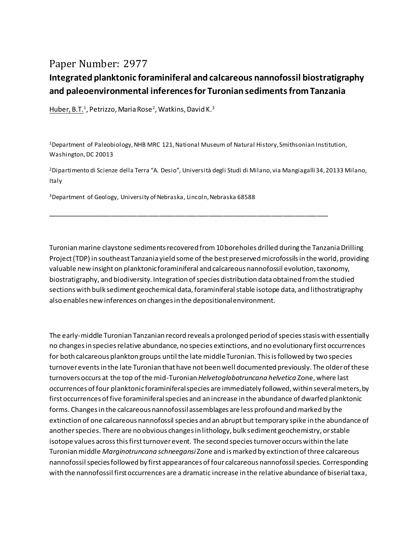## Paper Number: 2977

## **Integrated planktonic foraminiferal and calcareous nannofossil biostratigraphy and paleoenvironmental inferences for Turonian sediments from Tanzania**

<u>Huber, B.T.</u>1, Petrizzo, Maria Rose<sup>2</sup>, Watkins, David K.<sup>3</sup>

<sup>1</sup>Department of Paleobiology, NHB MRC 121, National Museum of Natural History, Smithsonian Institution, Washington, DC 20013

\_\_\_\_\_\_\_\_\_\_\_\_\_\_\_\_\_\_\_\_\_\_\_\_\_\_\_\_\_\_\_\_\_\_\_\_\_\_\_\_\_\_\_\_\_\_\_\_\_\_\_\_\_\_\_\_\_\_\_\_\_\_\_\_\_\_\_\_\_\_\_\_\_\_\_

<sup>2</sup>Dipartimento di Scienze della Terra "A. Desio", Università degli Studi di Milano, via Mangiagalli 34, 20133 Milano, Italy

<sup>3</sup>Department of Geology, University of Nebraska, Lincoln, Nebraska 68588

Turonian marine claystone sediments recovered from 10 boreholes drilled during the Tanzania Drilling Project (TDP) in southeast Tanzania yield some of the best preserved microfossils in the world, providing valuable new insight on planktonic foraminiferal and calcareous nannofossil evolution, taxonomy, biostratigraphy, and biodiversity. Integration of species distribution data obtained from the studied sections with bulk sediment geochemical data, foraminiferal stable isotope data, and lithostratigraphy also enables new inferences on changes in the depositional environment.

The early-middle Turonian Tanzanian record reveals a prolonged period of species stasis with essentially no changes in species relative abundance, no species extinctions, and no evolutionary first occurrences for both calcareous plankton groups until the late middle Turonian. This is followed by two species turnover eventsin the late Turonian that have not been well documented previously. The older of these turnovers occurs at the top of the mid-Turonian *Helvetoglobotruncana helvetica* Zone, where last occurrences of four planktonic foraminiferal species are immediately followed, within several meters, by first occurrences of five foraminiferal species and an increase in the abundance of dwarfed planktonic forms. Changes in the calcareous nannofossil assemblages are less profound and marked by the extinction of one calcareous nannofossil species and an abrupt but temporary spike in the abundance of another species. There are no obvious changes in lithology, bulk sediment geochemistry, or stable isotope values across this first turnover event. The second species turnover occurs within the late Turonian middle *Marginotruncana schneegansi* Zone and is marked by extinction of three calcareous nannofossil species followed by first appearances of four calcareous nannofossil species. Corresponding with the nannofossil first occurrences are a dramatic increase in the relative abundance of biserial taxa,